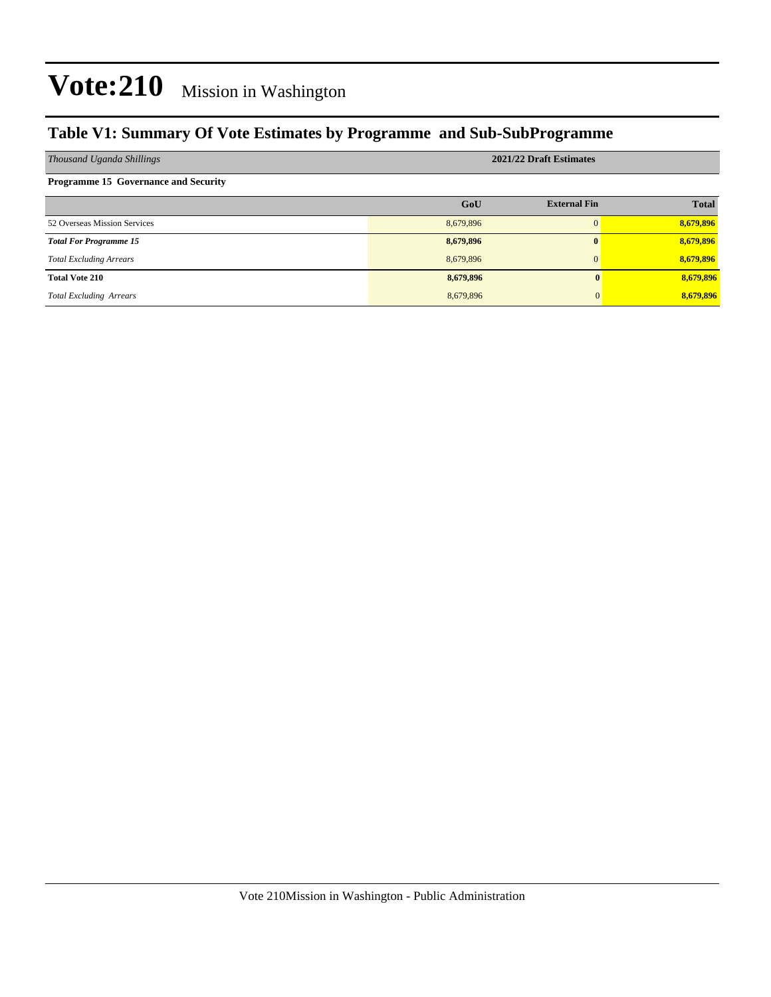## **Table V1: Summary Of Vote Estimates by Programme and Sub-SubProgramme**

| Thousand Uganda Shillings                   | 2021/22 Draft Estimates |                     |              |  |  |  |  |
|---------------------------------------------|-------------------------|---------------------|--------------|--|--|--|--|
| <b>Programme 15 Governance and Security</b> |                         |                     |              |  |  |  |  |
|                                             | GoU                     | <b>External Fin</b> | <b>Total</b> |  |  |  |  |
| 52 Overseas Mission Services                | 8,679,896               | 0                   | 8,679,896    |  |  |  |  |
| <b>Total For Programme 15</b>               | 8,679,896               | $\mathbf{0}$        | 8,679,896    |  |  |  |  |
| <b>Total Excluding Arrears</b>              | 8,679,896               | $\Omega$            | 8,679,896    |  |  |  |  |
| <b>Total Vote 210</b>                       | 8,679,896               |                     | 8,679,896    |  |  |  |  |
| <b>Total Excluding Arrears</b>              | 8,679,896               |                     | 8,679,896    |  |  |  |  |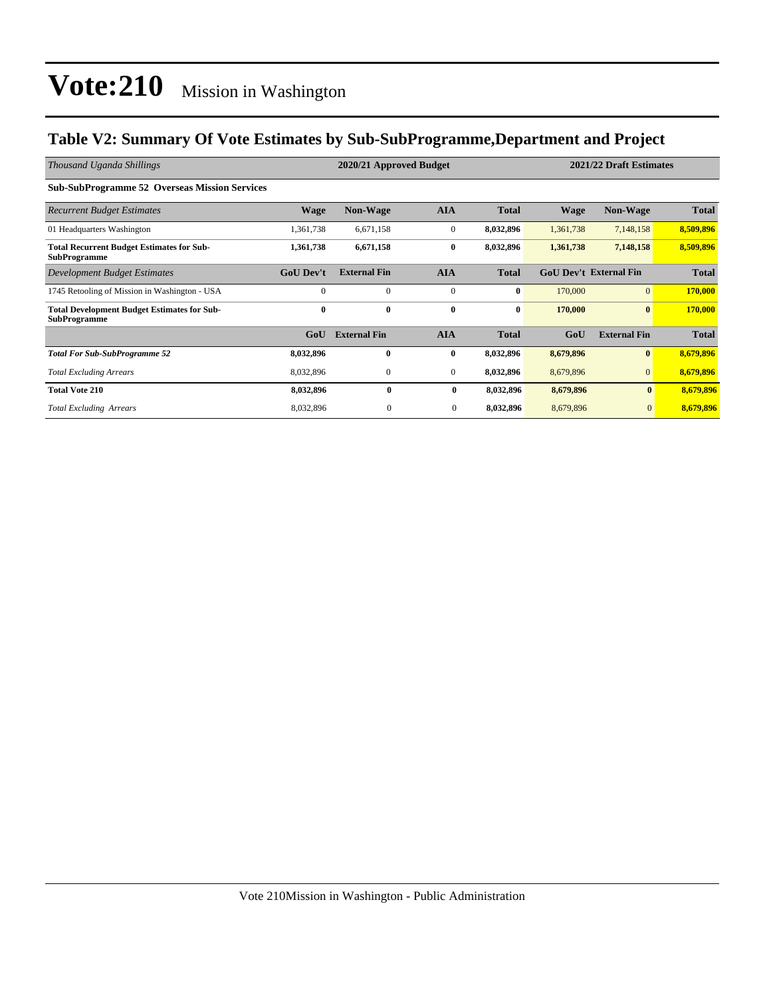### **Table V2: Summary Of Vote Estimates by Sub-SubProgramme,Department and Project**

| Thousand Uganda Shillings                                                 |                  | 2020/21 Approved Budget |              | 2021/22 Draft Estimates |           |                               |              |
|---------------------------------------------------------------------------|------------------|-------------------------|--------------|-------------------------|-----------|-------------------------------|--------------|
| <b>Sub-SubProgramme 52 Overseas Mission Services</b>                      |                  |                         |              |                         |           |                               |              |
| <b>Recurrent Budget Estimates</b>                                         | <b>Wage</b>      | <b>Non-Wage</b>         | <b>AIA</b>   | <b>Total</b>            | Wage      | <b>Non-Wage</b>               | <b>Total</b> |
| 01 Headquarters Washington                                                | 1,361,738        | 6,671,158               | $\mathbf{0}$ | 8,032,896               | 1,361,738 | 7,148,158                     | 8,509,896    |
| <b>Total Recurrent Budget Estimates for Sub-</b><br><b>SubProgramme</b>   | 1,361,738        | 6,671,158               | $\bf{0}$     | 8,032,896               | 1,361,738 | 7,148,158                     | 8,509,896    |
| Development Budget Estimates                                              | <b>GoU Dev't</b> | <b>External Fin</b>     | <b>AIA</b>   | <b>Total</b>            |           | <b>GoU Dev't External Fin</b> | <b>Total</b> |
| 1745 Retooling of Mission in Washington - USA                             | $\Omega$         | $\mathbf{0}$            | $\mathbf{0}$ | $\bf{0}$                | 170,000   | 0                             | 170,000      |
| <b>Total Development Budget Estimates for Sub-</b><br><b>SubProgramme</b> | $\bf{0}$         | $\bf{0}$                | $\bf{0}$     | $\bf{0}$                | 170,000   | $\bf{0}$                      | 170,000      |
|                                                                           | GoU              | <b>External Fin</b>     | <b>AIA</b>   | <b>Total</b>            | GoU       | <b>External Fin</b>           | <b>Total</b> |
| <b>Total For Sub-SubProgramme 52</b>                                      | 8,032,896        | 0                       | $\bf{0}$     | 8,032,896               | 8,679,896 | $\mathbf{0}$                  | 8,679,896    |
| <b>Total Excluding Arrears</b>                                            | 8,032,896        | $\mathbf{0}$            | $\mathbf{0}$ | 8,032,896               | 8,679,896 | $\overline{0}$                | 8,679,896    |
| <b>Total Vote 210</b>                                                     | 8,032,896        | $\mathbf{0}$            | $\bf{0}$     | 8,032,896               | 8,679,896 | $\mathbf{0}$                  | 8,679,896    |
| <b>Total Excluding Arrears</b>                                            | 8,032,896        | $\mathbf{0}$            | $\bf{0}$     | 8,032,896               | 8,679,896 | $\mathbf{0}$                  | 8,679,896    |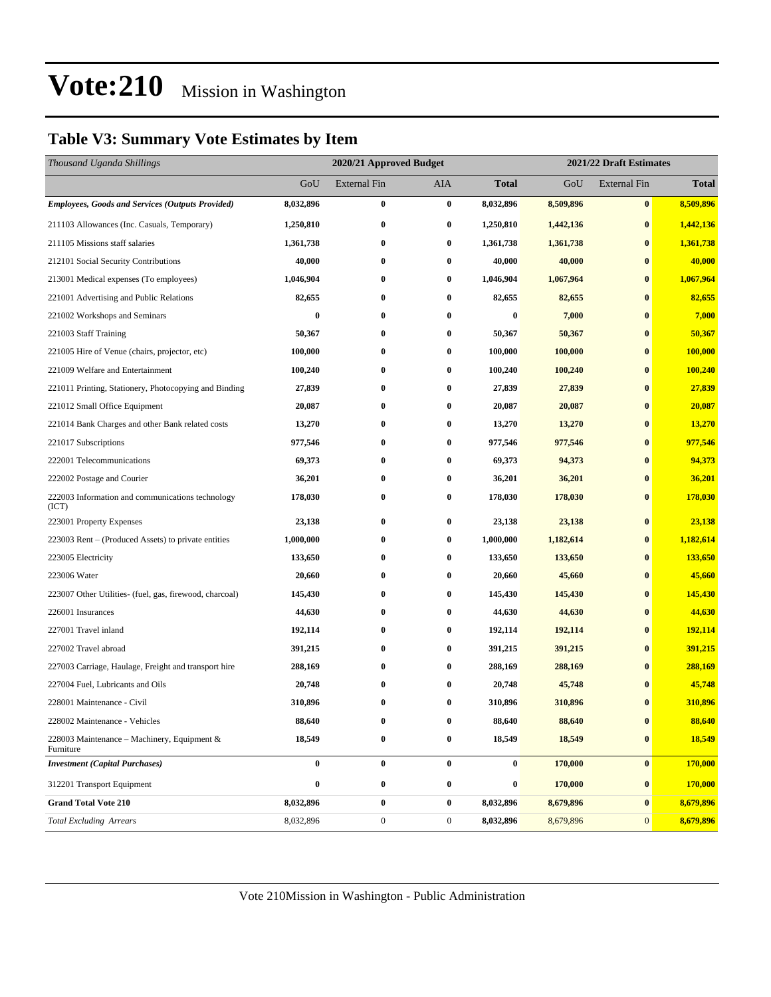## **Table V3: Summary Vote Estimates by Item**

| Thousand Uganda Shillings                                 | 2020/21 Approved Budget |                     |                  |                  | 2021/22 Draft Estimates |                     |              |  |
|-----------------------------------------------------------|-------------------------|---------------------|------------------|------------------|-------------------------|---------------------|--------------|--|
|                                                           | GoU                     | <b>External Fin</b> | AIA              | Total            | GoU                     | <b>External Fin</b> | <b>Total</b> |  |
| <b>Employees, Goods and Services (Outputs Provided)</b>   | 8,032,896               | $\bf{0}$            | $\bf{0}$         | 8,032,896        | 8,509,896               | $\bf{0}$            | 8,509,896    |  |
| 211103 Allowances (Inc. Casuals, Temporary)               | 1,250,810               | $\bf{0}$            | 0                | 1,250,810        | 1,442,136               | $\bf{0}$            | 1,442,136    |  |
| 211105 Missions staff salaries                            | 1,361,738               | $\bf{0}$            | $\bf{0}$         | 1,361,738        | 1,361,738               | $\bf{0}$            | 1,361,738    |  |
| 212101 Social Security Contributions                      | 40,000                  | $\bf{0}$            | $\bf{0}$         | 40,000           | 40,000                  | $\bf{0}$            | 40,000       |  |
| 213001 Medical expenses (To employees)                    | 1,046,904               | $\bf{0}$            | $\bf{0}$         | 1,046,904        | 1,067,964               | $\bf{0}$            | 1,067,964    |  |
| 221001 Advertising and Public Relations                   | 82,655                  | $\bf{0}$            | 0                | 82,655           | 82,655                  | $\bf{0}$            | 82,655       |  |
| 221002 Workshops and Seminars                             | 0                       | $\bf{0}$            | 0                | $\bf{0}$         | 7,000                   | $\bf{0}$            | 7,000        |  |
| 221003 Staff Training                                     | 50,367                  | $\bf{0}$            | $\bf{0}$         | 50,367           | 50,367                  | $\bf{0}$            | 50,367       |  |
| 221005 Hire of Venue (chairs, projector, etc)             | 100,000                 | $\bf{0}$            | 0                | 100,000          | 100,000                 | $\bf{0}$            | 100,000      |  |
| 221009 Welfare and Entertainment                          | 100,240                 | $\bf{0}$            | $\bf{0}$         | 100,240          | 100,240                 | $\bf{0}$            | 100,240      |  |
| 221011 Printing, Stationery, Photocopying and Binding     | 27,839                  | $\bf{0}$            | 0                | 27,839           | 27,839                  | $\bf{0}$            | 27,839       |  |
| 221012 Small Office Equipment                             | 20,087                  | $\bf{0}$            | 0                | 20,087           | 20,087                  | $\bf{0}$            | 20,087       |  |
| 221014 Bank Charges and other Bank related costs          | 13,270                  | $\bf{0}$            | $\bf{0}$         | 13,270           | 13,270                  | $\bf{0}$            | 13,270       |  |
| 221017 Subscriptions                                      | 977,546                 | $\bf{0}$            | 0                | 977,546          | 977,546                 | $\bf{0}$            | 977,546      |  |
| 222001 Telecommunications                                 | 69,373                  | $\bf{0}$            | $\bf{0}$         | 69,373           | 94,373                  | $\bf{0}$            | 94,373       |  |
| 222002 Postage and Courier                                | 36,201                  | $\bf{0}$            | 0                | 36,201           | 36,201                  | $\bf{0}$            | 36,201       |  |
| 222003 Information and communications technology<br>(ICT) | 178,030                 | $\bf{0}$            | 0                | 178,030          | 178,030                 | $\bf{0}$            | 178,030      |  |
| 223001 Property Expenses                                  | 23,138                  | $\bf{0}$            | $\bf{0}$         | 23,138           | 23,138                  | $\bf{0}$            | 23,138       |  |
| 223003 Rent – (Produced Assets) to private entities       | 1,000,000               | $\bf{0}$            | $\bf{0}$         | 1,000,000        | 1,182,614               | $\bf{0}$            | 1,182,614    |  |
| 223005 Electricity                                        | 133,650                 | $\bf{0}$            | 0                | 133,650          | 133,650                 | $\bf{0}$            | 133,650      |  |
| 223006 Water                                              | 20,660                  | $\bf{0}$            | $\bf{0}$         | 20,660           | 45,660                  | $\bf{0}$            | 45,660       |  |
| 223007 Other Utilities- (fuel, gas, firewood, charcoal)   | 145,430                 | $\bf{0}$            | $\bf{0}$         | 145,430          | 145,430                 | $\bf{0}$            | 145,430      |  |
| 226001 Insurances                                         | 44,630                  | $\bf{0}$            | $\bf{0}$         | 44,630           | 44,630                  | $\bf{0}$            | 44,630       |  |
| 227001 Travel inland                                      | 192,114                 | $\bf{0}$            | $\bf{0}$         | 192,114          | 192,114                 | $\bf{0}$            | 192,114      |  |
| 227002 Travel abroad                                      | 391,215                 | $\bf{0}$            | 0                | 391,215          | 391,215                 | $\bf{0}$            | 391,215      |  |
| 227003 Carriage, Haulage, Freight and transport hire      | 288,169                 | $\bf{0}$            | 0                | 288,169          | 288,169                 | $\bf{0}$            | 288,169      |  |
| 227004 Fuel, Lubricants and Oils                          | 20,748                  | $\bf{0}$            | 0                | 20,748           | 45,748                  | $\bf{0}$            | 45,748       |  |
| 228001 Maintenance - Civil                                | 310,896                 | $\bf{0}$            | 0                | 310,896          | 310,896                 | $\bf{0}$            | 310,896      |  |
| 228002 Maintenance - Vehicles                             | 88,640                  | $\bf{0}$            | $\bf{0}$         | 88,640           | 88,640                  | $\bf{0}$            | 88,640       |  |
| 228003 Maintenance - Machinery, Equipment &<br>Furniture  | 18,549                  | $\bf{0}$            | 0                | 18,549           | 18,549                  | $\bf{0}$            | 18,549       |  |
| <b>Investment</b> (Capital Purchases)                     | $\bf{0}$                | $\bf{0}$            | $\bf{0}$         | $\boldsymbol{0}$ | 170,000                 | $\bf{0}$            | 170,000      |  |
| 312201 Transport Equipment                                | $\bf{0}$                | $\bf{0}$            | $\bf{0}$         | $\boldsymbol{0}$ | 170,000                 | $\bf{0}$            | 170,000      |  |
| <b>Grand Total Vote 210</b>                               | 8,032,896               | $\bf{0}$            | $\bf{0}$         | 8,032,896        | 8,679,896               | $\bf{0}$            | 8,679,896    |  |
| <b>Total Excluding Arrears</b>                            | 8,032,896               | $\boldsymbol{0}$    | $\boldsymbol{0}$ | 8,032,896        | 8,679,896               | $\overline{0}$      | 8,679,896    |  |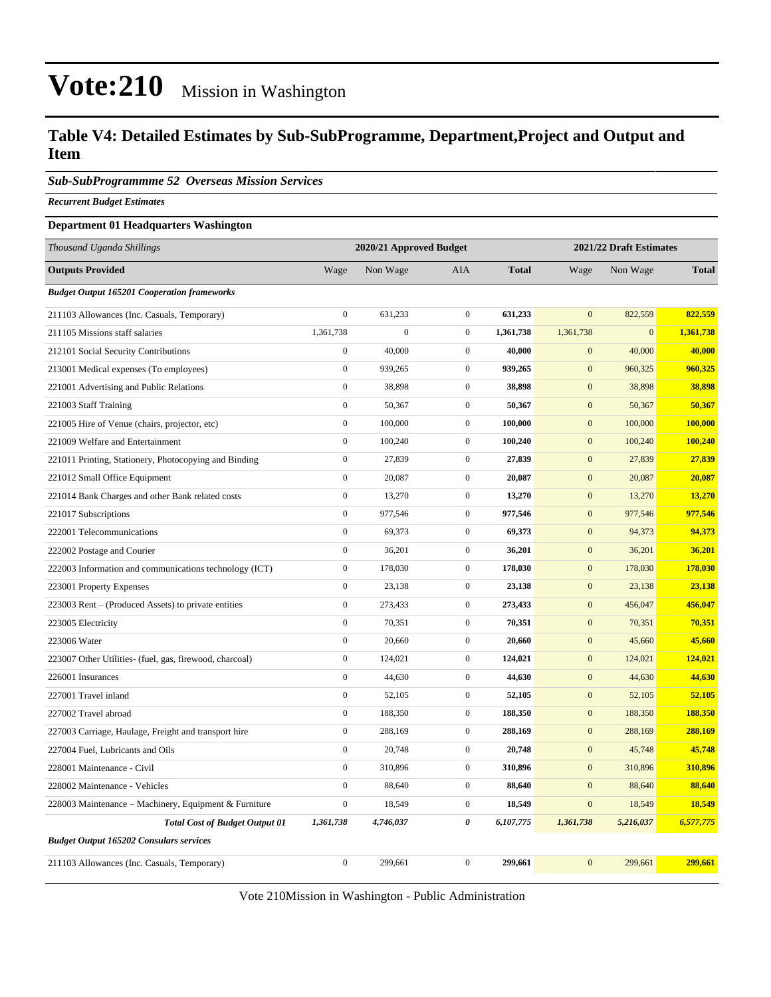### **Table V4: Detailed Estimates by Sub-SubProgramme, Department,Project and Output and Item**

*Sub-SubProgrammme 52 Overseas Mission Services*

*Recurrent Budget Estimates*

#### **Department 01 Headquarters Washington**

| Thousand Uganda Shillings                               | 2020/21 Approved Budget |                |                  |              | 2021/22 Draft Estimates |                |              |
|---------------------------------------------------------|-------------------------|----------------|------------------|--------------|-------------------------|----------------|--------------|
| <b>Outputs Provided</b>                                 | Wage                    | Non Wage       | AIA              | <b>Total</b> | Wage                    | Non Wage       | <b>Total</b> |
| <b>Budget Output 165201 Cooperation frameworks</b>      |                         |                |                  |              |                         |                |              |
| 211103 Allowances (Inc. Casuals, Temporary)             | $\boldsymbol{0}$        | 631,233        | $\boldsymbol{0}$ | 631,233      | $\mathbf{0}$            | 822,559        | 822,559      |
| 211105 Missions staff salaries                          | 1,361,738               | $\overline{0}$ | $\mathbf 0$      | 1,361,738    | 1,361,738               | $\overline{0}$ | 1,361,738    |
| 212101 Social Security Contributions                    | $\boldsymbol{0}$        | 40,000         | $\mathbf{0}$     | 40,000       | $\mathbf{0}$            | 40,000         | 40,000       |
| 213001 Medical expenses (To employees)                  | $\boldsymbol{0}$        | 939,265        | $\mathbf 0$      | 939,265      | $\mathbf{0}$            | 960,325        | 960,325      |
| 221001 Advertising and Public Relations                 | $\boldsymbol{0}$        | 38,898         | $\boldsymbol{0}$ | 38,898       | $\boldsymbol{0}$        | 38,898         | 38,898       |
| 221003 Staff Training                                   | $\boldsymbol{0}$        | 50,367         | $\mathbf{0}$     | 50,367       | $\mathbf{0}$            | 50,367         | 50,367       |
| 221005 Hire of Venue (chairs, projector, etc)           | $\boldsymbol{0}$        | 100,000        | $\boldsymbol{0}$ | 100,000      | $\boldsymbol{0}$        | 100,000        | 100,000      |
| 221009 Welfare and Entertainment                        | $\boldsymbol{0}$        | 100,240        | $\boldsymbol{0}$ | 100,240      | $\boldsymbol{0}$        | 100,240        | 100,240      |
| 221011 Printing, Stationery, Photocopying and Binding   | $\boldsymbol{0}$        | 27,839         | $\boldsymbol{0}$ | 27,839       | $\mathbf{0}$            | 27,839         | 27,839       |
| 221012 Small Office Equipment                           | $\boldsymbol{0}$        | 20,087         | $\mathbf{0}$     | 20,087       | $\mathbf{0}$            | 20,087         | 20,087       |
| 221014 Bank Charges and other Bank related costs        | $\boldsymbol{0}$        | 13,270         | $\mathbf{0}$     | 13,270       | $\mathbf{0}$            | 13,270         | 13,270       |
| 221017 Subscriptions                                    | $\boldsymbol{0}$        | 977,546        | $\boldsymbol{0}$ | 977,546      | $\boldsymbol{0}$        | 977,546        | 977,546      |
| 222001 Telecommunications                               | $\boldsymbol{0}$        | 69,373         | $\boldsymbol{0}$ | 69,373       | $\mathbf{0}$            | 94,373         | 94,373       |
| 222002 Postage and Courier                              | $\boldsymbol{0}$        | 36,201         | $\boldsymbol{0}$ | 36,201       | $\boldsymbol{0}$        | 36,201         | 36,201       |
| 222003 Information and communications technology (ICT)  | $\boldsymbol{0}$        | 178,030        | $\mathbf{0}$     | 178,030      | $\boldsymbol{0}$        | 178,030        | 178,030      |
| 223001 Property Expenses                                | $\boldsymbol{0}$        | 23,138         | $\boldsymbol{0}$ | 23,138       | $\boldsymbol{0}$        | 23,138         | 23,138       |
| 223003 Rent – (Produced Assets) to private entities     | $\boldsymbol{0}$        | 273,433        | $\boldsymbol{0}$ | 273,433      | $\boldsymbol{0}$        | 456,047        | 456,047      |
| 223005 Electricity                                      | $\overline{0}$          | 70,351         | $\mathbf 0$      | 70,351       | $\mathbf{0}$            | 70,351         | 70,351       |
| 223006 Water                                            | $\boldsymbol{0}$        | 20,660         | $\boldsymbol{0}$ | 20,660       | $\mathbf{0}$            | 45,660         | 45,660       |
| 223007 Other Utilities- (fuel, gas, firewood, charcoal) | $\boldsymbol{0}$        | 124,021        | $\mathbf{0}$     | 124,021      | $\mathbf{0}$            | 124,021        | 124,021      |
| 226001 Insurances                                       | $\boldsymbol{0}$        | 44,630         | $\boldsymbol{0}$ | 44,630       | $\mathbf{0}$            | 44,630         | 44,630       |
| 227001 Travel inland                                    | $\boldsymbol{0}$        | 52,105         | $\mathbf{0}$     | 52,105       | $\mathbf{0}$            | 52,105         | 52,105       |
| 227002 Travel abroad                                    | $\boldsymbol{0}$        | 188,350        | $\boldsymbol{0}$ | 188,350      | $\boldsymbol{0}$        | 188,350        | 188,350      |
| 227003 Carriage, Haulage, Freight and transport hire    | $\boldsymbol{0}$        | 288,169        | $\boldsymbol{0}$ | 288,169      | $\mathbf{0}$            | 288,169        | 288,169      |
| 227004 Fuel, Lubricants and Oils                        | $\boldsymbol{0}$        | 20,748         | $\boldsymbol{0}$ | 20,748       | $\boldsymbol{0}$        | 45,748         | 45,748       |
| 228001 Maintenance - Civil                              | $\boldsymbol{0}$        | 310,896        | $\boldsymbol{0}$ | 310,896      | $\mathbf{0}$            | 310,896        | 310,896      |
| 228002 Maintenance - Vehicles                           | $\boldsymbol{0}$        | 88,640         | $\mathbf 0$      | 88,640       | $\mathbf{0}$            | 88,640         | 88,640       |
| 228003 Maintenance – Machinery, Equipment & Furniture   | $\boldsymbol{0}$        | 18,549         | $\boldsymbol{0}$ | 18,549       | $\mathbf{0}$            | 18,549         | 18,549       |
| <b>Total Cost of Budget Output 01</b>                   | 1,361,738               | 4,746,037      | 0                | 6,107,775    | 1,361,738               | 5,216,037      | 6,577,775    |
| <b>Budget Output 165202 Consulars services</b>          |                         |                |                  |              |                         |                |              |
| 211103 Allowances (Inc. Casuals, Temporary)             | $\boldsymbol{0}$        | 299,661        | $\mathbf{0}$     | 299,661      | $\overline{0}$          | 299,661        | 299,661      |

Vote 210Mission in Washington - Public Administration